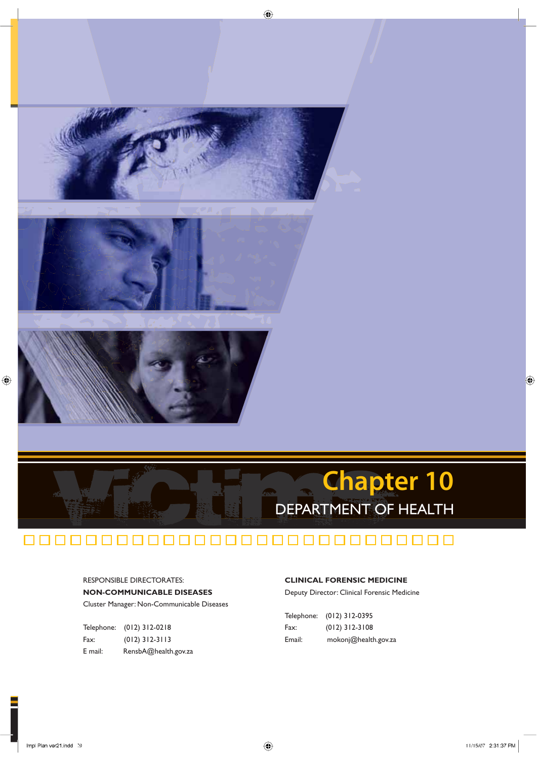

# 000000000000000000000000000000

 $\bigoplus$ 

RESPONSIBLE DIRECTORATES: **NON-COMMUNICABLE DISEASES** Cluster Manager: Non-Communicable Diseases

|         | Telephone: (012) 312-0218 |
|---------|---------------------------|
| Fax:    | $(012)$ 312-3113          |
| E mail: | RensbA@health.gov.za      |

### **CLINICAL FORENSIC MEDICINE**

Deputy Director: Clinical Forensic Medicine

|        | Telephone: (012) 312-0395 |
|--------|---------------------------|
| Fax:   | $(012)$ 312-3108          |
| Email: | mokonj@health.gov.za      |

◈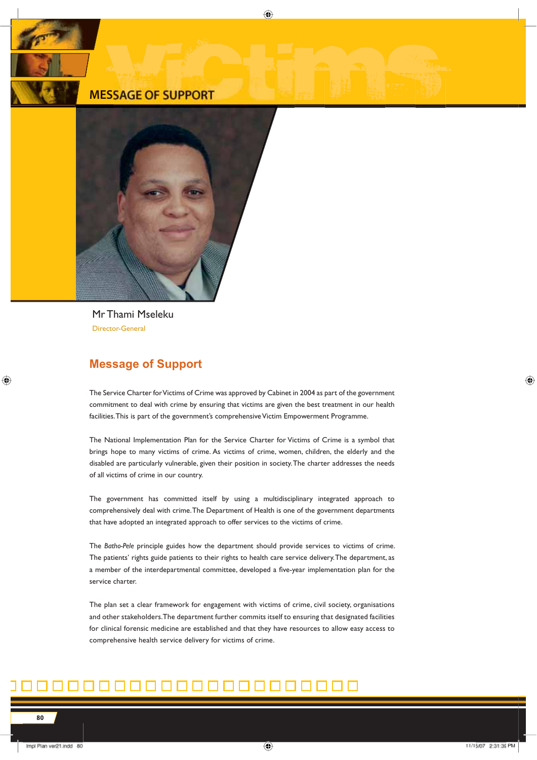### **MESSAGE OF SUPPORT**



Mr Thami Mseleku Director-General

### **Message of Support**

The Service Charter for Victims of Crime was approved by Cabinet in 2004 as part of the government commitment to deal with crime by ensuring that victims are given the best treatment in our health facilities. This is part of the government's comprehensive Victim Empowerment Programme.

⊕

The National Implementation Plan for the Service Charter for Victims of Crime is a symbol that brings hope to many victims of crime. As victims of crime, women, children, the elderly and the disabled are particularly vulnerable, given their position in society. The charter addresses the needs of all victims of crime in our country.

The government has committed itself by using a multidisciplinary integrated approach to comprehensively deal with crime. The Department of Health is one of the government departments that have adopted an integrated approach to offer services to the victims of crime.

The *Batho-Pele* principle guides how the department should provide services to victims of crime. The patients' rights guide patients to their rights to health care service delivery. The department, as a member of the interdepartmental committee, developed a five-year implementation plan for the service charter.

The plan set a clear framework for engagement with victims of crime, civil society, organisations and other stakeholders. The department further commits itself to ensuring that designated facilities for clinical forensic medicine are established and that they have resources to allow easy access to comprehensive health service delivery for victims of crime.

## ini ni ni ni ni ni ni ni ni ni n

◈

◈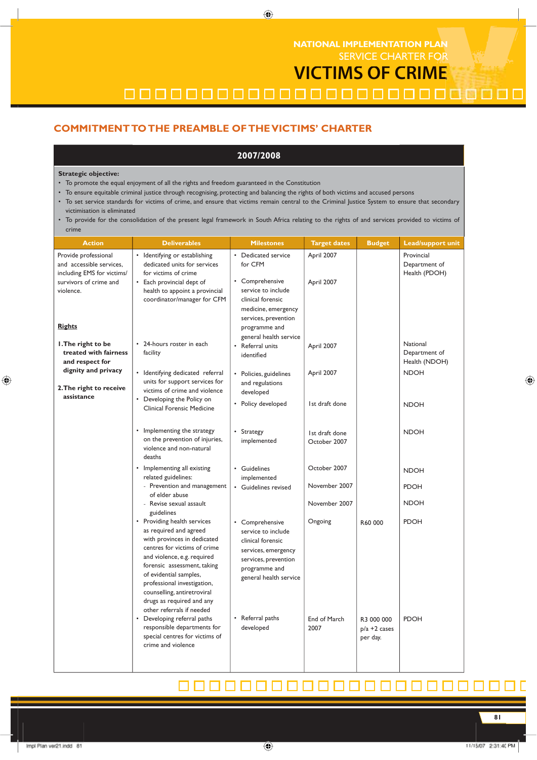SERVICE CHARTER FOR **NATIONAL IMPLEMENTATION PLAN**

**VICTIMS OF CRIME**

0000000000000000000000000

### **COMMITMENT TO THE PREAMBLE OF THE VICTIMS' CHARTER**

### **2007/2008**

 $\bigoplus$ 

### **Strategic objective:**

- To promote the equal enjoyment of all the rights and freedom guaranteed in the Constitution
- To ensure equitable criminal justice through recognising, protecting and balancing the rights of both victims and accused persons
- · To set service standards for victims of crime, and ensure that victims remain central to the Criminal Justice System to ensure that secondary victimisation is eliminated
- · To provide for the consolidation of the present legal framework in South Africa relating to the rights of and services provided to victims of crime

| crime                                                                          |                                                                                                                                                                                                                                                                                                                                      |                                                                                                                                                      |                                |                                           |                                              |
|--------------------------------------------------------------------------------|--------------------------------------------------------------------------------------------------------------------------------------------------------------------------------------------------------------------------------------------------------------------------------------------------------------------------------------|------------------------------------------------------------------------------------------------------------------------------------------------------|--------------------------------|-------------------------------------------|----------------------------------------------|
| <b>Action</b>                                                                  | <b>Deliverables</b>                                                                                                                                                                                                                                                                                                                  | <b>Milestones</b>                                                                                                                                    | <b>Target dates</b>            | <b>Budget</b>                             | <b>Lead/support unit</b>                     |
| Provide professional<br>and accessible services,<br>including EMS for victims/ | • Identifying or establishing<br>dedicated units for services<br>for victims of crime                                                                                                                                                                                                                                                | • Dedicated service<br>for CFM                                                                                                                       | April 2007                     |                                           | Provincial<br>Department of<br>Health (PDOH) |
| survivors of crime and<br>violence.                                            | • Each provincial dept of<br>health to appoint a provincial<br>coordinator/manager for CFM                                                                                                                                                                                                                                           | • Comprehensive<br>service to include<br>clinical forensic<br>medicine, emergency<br>services, prevention                                            | April 2007                     |                                           |                                              |
| <b>Rights</b>                                                                  |                                                                                                                                                                                                                                                                                                                                      | programme and<br>general health service                                                                                                              |                                |                                           |                                              |
| I. The right to be<br>treated with fairness<br>and respect for                 | • 24-hours roster in each<br>facility                                                                                                                                                                                                                                                                                                | • Referral units<br>identified                                                                                                                       | April 2007                     |                                           | National<br>Department of<br>Health (NDOH)   |
| dignity and privacy<br>2. The right to receive                                 | • Identifying dedicated referral<br>units for support services for<br>victims of crime and violence                                                                                                                                                                                                                                  | • Policies, guidelines<br>and regulations<br>developed                                                                                               | April 2007                     |                                           | <b>NDOH</b>                                  |
| assistance                                                                     | • Developing the Policy on<br>Clinical Forensic Medicine                                                                                                                                                                                                                                                                             | • Policy developed                                                                                                                                   | 1st draft done                 |                                           | <b>NDOH</b>                                  |
|                                                                                | Implementing the strategy<br>on the prevention of injuries,<br>violence and non-natural<br>deaths                                                                                                                                                                                                                                    | • Strategy<br>implemented                                                                                                                            | Ist draft done<br>October 2007 |                                           | <b>NDOH</b>                                  |
|                                                                                | • Implementing all existing<br>related guidelines:                                                                                                                                                                                                                                                                                   | • Guidelines<br>implemented                                                                                                                          | October 2007                   |                                           | <b>NDOH</b>                                  |
|                                                                                | - Prevention and management<br>of elder abuse                                                                                                                                                                                                                                                                                        | • Guidelines revised                                                                                                                                 | November 2007                  |                                           | <b>PDOH</b>                                  |
|                                                                                | - Revise sexual assault<br>guidelines                                                                                                                                                                                                                                                                                                |                                                                                                                                                      | November 2007                  |                                           | <b>NDOH</b>                                  |
|                                                                                | • Providing health services<br>as required and agreed<br>with provinces in dedicated<br>centres for victims of crime<br>and violence, e.g. required<br>forensic assessment, taking<br>of evidential samples,<br>professional investigation,<br>counselling, antiretroviral<br>drugs as required and any<br>other referrals if needed | • Comprehensive<br>service to include<br>clinical forensic<br>services, emergency<br>services, prevention<br>programme and<br>general health service | Ongoing                        | R60 000                                   | <b>PDOH</b>                                  |
|                                                                                | • Developing referral paths<br>responsible departments for<br>special centres for victims of<br>crime and violence                                                                                                                                                                                                                   | • Referral paths<br>developed                                                                                                                        | End of March<br>2007           | R3 000 000<br>$p/a + 2$ cases<br>per day. | <b>PDOH</b>                                  |

# 8888888888888888

⊕

◈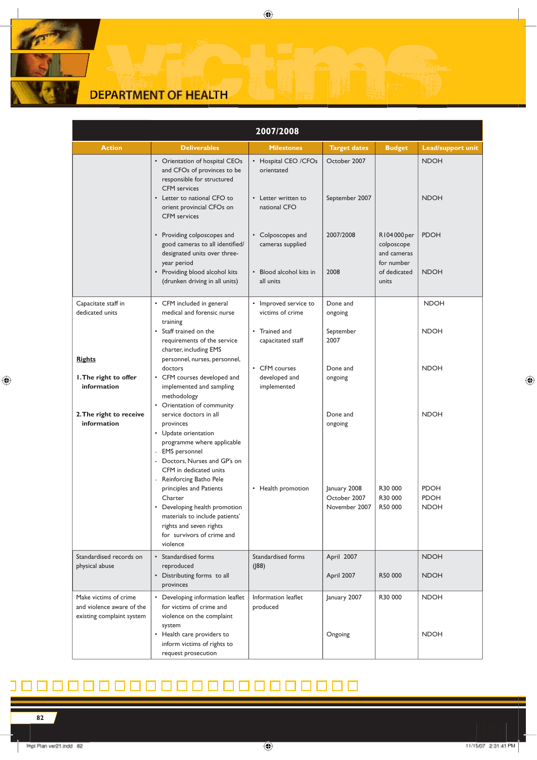# **DEPARTMENT OF HEALTH**

| 2007/2008                                                                       |                                                                                                                                                                                                                   |                                                                               |                                               |                                                                                 |                                           |  |
|---------------------------------------------------------------------------------|-------------------------------------------------------------------------------------------------------------------------------------------------------------------------------------------------------------------|-------------------------------------------------------------------------------|-----------------------------------------------|---------------------------------------------------------------------------------|-------------------------------------------|--|
| <b>Action</b>                                                                   | <b>Deliverables</b>                                                                                                                                                                                               | <b>Milestones</b>                                                             | <b>Target dates</b>                           | <b>Budget</b>                                                                   | <b>Lead/support unit</b>                  |  |
|                                                                                 | • Orientation of hospital CEOs<br>and CFOs of provinces to be<br>responsible for structured<br><b>CFM</b> services<br>Letter to national CFO to<br>orient provincial CFOs on<br><b>CFM</b> services               | • Hospital CEO / CFOs<br>orientated<br>• Letter written to<br>national CFO    | October 2007<br>September 2007                |                                                                                 | <b>NDOH</b><br><b>NDOH</b>                |  |
|                                                                                 | • Providing colposcopes and<br>good cameras to all identified/<br>designated units over three-<br>year period<br>Providing blood alcohol kits<br>$\bullet$<br>(drunken driving in all units)                      | • Colposcopes and<br>cameras supplied<br>• Blood alcohol kits in<br>all units | 2007/2008<br>2008                             | R104000 per<br>colposcope<br>and cameras<br>for number<br>of dedicated<br>units | <b>PDOH</b><br><b>NDOH</b>                |  |
|                                                                                 |                                                                                                                                                                                                                   |                                                                               |                                               |                                                                                 |                                           |  |
| Capacitate staff in<br>dedicated units                                          | • CFM included in general<br>medical and forensic nurse<br>training                                                                                                                                               | • Improved service to<br>victims of crime                                     | Done and<br>ongoing                           |                                                                                 | <b>NDOH</b>                               |  |
| <u>Rights</u>                                                                   | • Staff trained on the<br>requirements of the service<br>charter, including EMS<br>personnel, nurses, personnel,                                                                                                  | • Trained and<br>capacitated staff                                            | September<br>2007                             |                                                                                 | <b>NDOH</b>                               |  |
| I. The right to offer<br>information                                            | doctors<br>CFM courses developed and<br>implemented and sampling<br>methodology<br>• Orientation of community                                                                                                     | • CFM courses<br>developed and<br>implemented                                 | Done and<br>ongoing                           |                                                                                 | <b>NDOH</b>                               |  |
| 2. The right to receive<br>information                                          | service doctors in all<br>provinces<br>• Update orientation<br>programme where applicable<br><b>EMS</b> personnel<br>Doctors, Nurses and GP's on<br>$\bar{a}$<br>CFM in dedicated units<br>Reinforcing Batho Pele |                                                                               | Done and<br>ongoing                           |                                                                                 | <b>NDOH</b>                               |  |
|                                                                                 | principles and Patients<br>Charter<br>Developing health promotion<br>materials to include patients'<br>rights and seven rights<br>for survivors of crime and<br>violence                                          | Health promotion<br>$\bullet$                                                 | January 2008<br>October 2007<br>November 2007 | R30 000<br>R30 000<br>R50 000                                                   | <b>PDOH</b><br><b>PDOH</b><br><b>NDOH</b> |  |
| Standardised records on<br>physical abuse                                       | • Standardised forms<br>reproduced<br>• Distributing forms to all<br>provinces                                                                                                                                    | Standardised forms<br>(188)                                                   | April 2007<br>April 2007                      | R50 000                                                                         | <b>NDOH</b><br><b>NDOH</b>                |  |
| Make victims of crime<br>and violence aware of the<br>existing complaint system | Developing information leaflet<br>for victims of crime and<br>violence on the complaint<br>system                                                                                                                 | Information leaflet<br>produced                                               | January 2007                                  | R30 000                                                                         | <b>NDOH</b>                               |  |
|                                                                                 | Health care providers to<br>$\bullet$<br>inform victims of rights to<br>request prosecution                                                                                                                       |                                                                               | Ongoing                                       |                                                                                 | <b>NDOH</b>                               |  |

 $\bigoplus$ 

#### 0000000000000000000 П

**82**

 $\mathbb{R}$ 

 $\bigoplus$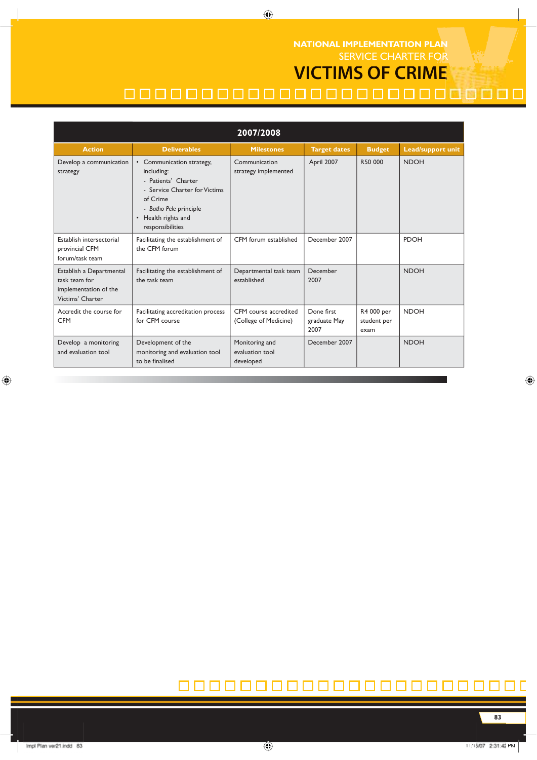SERVICE CHARTER FOR **VICTIMS OF CRIME NATIONAL IMPLEMENTATION PLAN**

# 00000000000000000000000000

| 2007/2008                                                                              |                                                                                                                                                                                  |                                                |                                    |                                   |                          |  |
|----------------------------------------------------------------------------------------|----------------------------------------------------------------------------------------------------------------------------------------------------------------------------------|------------------------------------------------|------------------------------------|-----------------------------------|--------------------------|--|
| <b>Action</b>                                                                          | <b>Deliverables</b>                                                                                                                                                              | <b>Milestones</b>                              | <b>Target dates</b>                | <b>Budget</b>                     | <b>Lead/support unit</b> |  |
| Develop a communication<br>strategy                                                    | • Communication strategy,<br>including:<br>- Patients' Charter<br>- Service Charter for Victims<br>of Crime<br>- Batho Pele principle<br>• Health rights and<br>responsibilities | Communication<br>strategy implemented          | April 2007                         | R50 000                           | <b>NDOH</b>              |  |
| Establish intersectorial<br>provincial CFM<br>forum/task team                          | Facilitating the establishment of<br>the CFM forum                                                                                                                               | CFM forum established                          | December 2007                      |                                   | <b>PDOH</b>              |  |
| Establish a Departmental<br>task team for<br>implementation of the<br>Victims' Charter | Facilitating the establishment of<br>the task team                                                                                                                               | Departmental task team<br>established          | December<br>2007                   |                                   | <b>NDOH</b>              |  |
| Accredit the course for<br><b>CFM</b>                                                  | Facilitating accreditation process<br>for CFM course                                                                                                                             | CFM course accredited<br>(College of Medicine) | Done first<br>graduate May<br>2007 | R4 000 per<br>student per<br>exam | <b>NDOH</b>              |  |
| Develop a monitoring<br>and evaluation tool                                            | Development of the<br>monitoring and evaluation tool<br>to be finalised                                                                                                          | Monitoring and<br>evaluation tool<br>developed | December 2007                      |                                   | <b>NDOH</b>              |  |

 $\bigoplus$ 

#### 0000000000000000000  $\Box$

 $\bigoplus$ 

**83**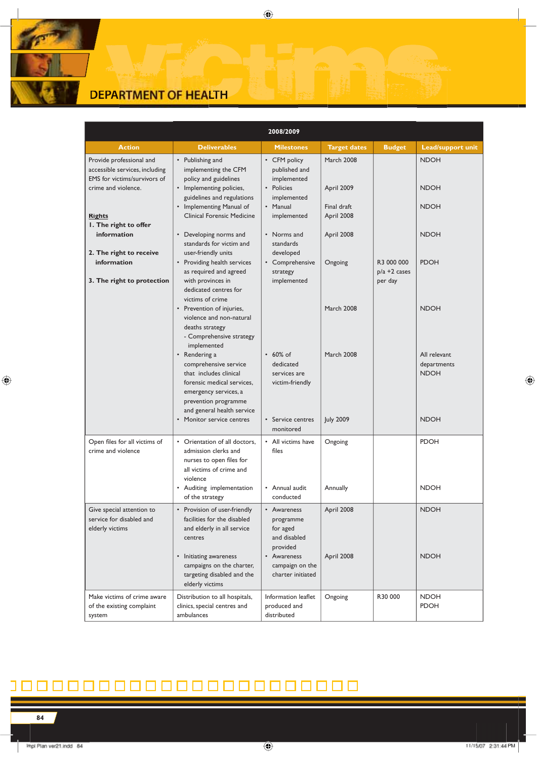

| 2008/2009                                                                                                                          |                                                                                                                                                                                       |                                                                                                      |                                                       |                                          |                                            |
|------------------------------------------------------------------------------------------------------------------------------------|---------------------------------------------------------------------------------------------------------------------------------------------------------------------------------------|------------------------------------------------------------------------------------------------------|-------------------------------------------------------|------------------------------------------|--------------------------------------------|
| <b>Action</b>                                                                                                                      | <b>Deliverables</b>                                                                                                                                                                   | <b>Milestones</b>                                                                                    | <b>Target dates</b>                                   | <b>Budget</b>                            | <b>Lead/support unit</b>                   |
| Provide professional and<br>accessible services, including<br>EMS for victims/survivors of<br>crime and violence.<br><b>Rights</b> | • Publishing and<br>implementing the CFM<br>policy and guidelines<br>• Implementing policies,<br>guidelines and regulations<br>• Implementing Manual of<br>Clinical Forensic Medicine | • CFM policy<br>published and<br>implemented<br>• Policies<br>implemented<br>• Manual<br>implemented | March 2008<br>April 2009<br>Final draft<br>April 2008 |                                          | <b>NDOH</b><br><b>NDOH</b><br><b>NDOH</b>  |
| I. The right to offer<br>information                                                                                               | • Developing norms and<br>standards for victim and                                                                                                                                    | • Norms and<br>standards                                                                             | April 2008                                            |                                          | <b>NDOH</b>                                |
| 2. The right to receive<br>information<br>3. The right to protection                                                               | user-friendly units<br>• Providing health services<br>as required and agreed<br>with provinces in<br>dedicated centres for<br>victims of crime                                        | developed<br>• Comprehensive<br>strategy<br>implemented                                              | Ongoing                                               | R3 000 000<br>$p/a + 2$ cases<br>per day | <b>PDOH</b>                                |
|                                                                                                                                    | • Prevention of injuries,<br>violence and non-natural<br>deaths strategy<br>- Comprehensive strategy<br>implemented                                                                   |                                                                                                      | <b>March 2008</b>                                     |                                          | <b>NDOH</b>                                |
|                                                                                                                                    | • Rendering a<br>comprehensive service<br>that includes clinical<br>forensic medical services,<br>emergency services, a<br>prevention programme<br>and general health service         | $\cdot$ 60% of<br>dedicated<br>services are<br>victim-friendly                                       | <b>March 2008</b>                                     |                                          | All relevant<br>departments<br><b>NDOH</b> |
|                                                                                                                                    | • Monitor service centres                                                                                                                                                             | • Service centres<br>monitored                                                                       | <b>July 2009</b>                                      |                                          | <b>NDOH</b>                                |
| Open files for all victims of<br>crime and violence                                                                                | • Orientation of all doctors.<br>admission clerks and<br>nurses to open files for<br>all victims of crime and<br>violence                                                             | • All victims have<br>files                                                                          | Ongoing                                               |                                          | <b>PDOH</b>                                |
|                                                                                                                                    | • Auditing implementation<br>of the strategy                                                                                                                                          | • Annual audit<br>conducted                                                                          | Annually                                              |                                          | <b>NDOH</b>                                |
| Give special attention to<br>service for disabled and<br>elderly victims                                                           | • Provision of user-friendly<br>facilities for the disabled<br>and elderly in all service<br>centres                                                                                  | • Awareness<br>programme<br>for aged<br>and disabled<br>provided                                     | April 2008                                            |                                          | <b>NDOH</b>                                |
|                                                                                                                                    | • Initiating awareness<br>campaigns on the charter,<br>targeting disabled and the<br>elderly victims                                                                                  | • Awareness<br>campaign on the<br>charter initiated                                                  | April 2008                                            |                                          | <b>NDOH</b>                                |
| Make victims of crime aware<br>of the existing complaint<br>system                                                                 | Distribution to all hospitals,<br>clinics, special centres and<br>ambulances                                                                                                          | Information leaflet<br>produced and<br>distributed                                                   | Ongoing                                               | R30 000                                  | <b>NDOH</b><br><b>PDOH</b>                 |

 $\bigoplus$ 

### 00000000000000000000 П

 $\mathbb{R}$ 

 $\bigoplus$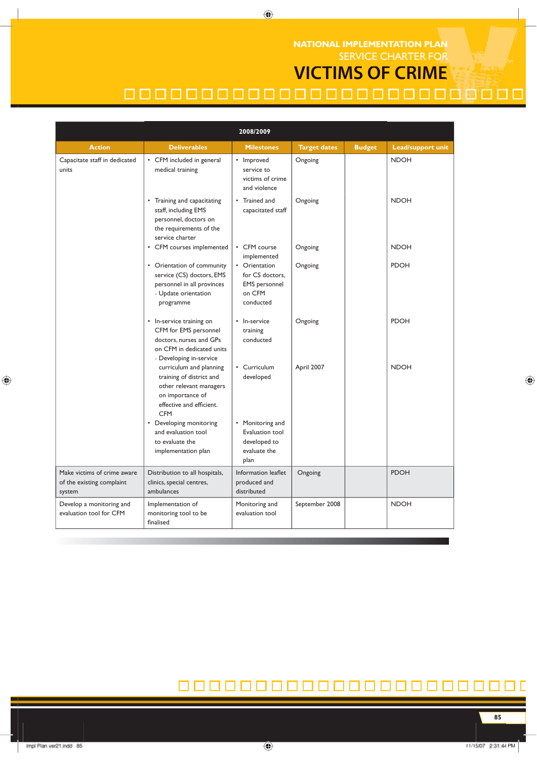### SERVICE CHARTER FOR **NATIONAL IMPLEMENTATION PLAN**

# **VICTIMS OF CRIME**

# 00000000000000000000000000

 $\bigoplus$ 

| 2008/2009                                                          |                                                                                                                                              |                                                                                 |                     |               |                          |
|--------------------------------------------------------------------|----------------------------------------------------------------------------------------------------------------------------------------------|---------------------------------------------------------------------------------|---------------------|---------------|--------------------------|
| <b>Action</b>                                                      | <b>Deliverables</b>                                                                                                                          | <b>Milestones</b>                                                               | <b>Target dates</b> | <b>Budget</b> | <b>Lead/support unit</b> |
| Capacitate staff in dedicated<br>units                             | • CFM included in general<br>medical training                                                                                                | • Improved<br>service to<br>victims of crime<br>and violence                    | Ongoing             |               | <b>NDOH</b>              |
|                                                                    | • Training and capacitating<br>staff, including EMS<br>personnel, doctors on<br>the requirements of the<br>service charter                   | • Trained and<br>capacitated staff                                              | Ongoing             |               | <b>NDOH</b>              |
|                                                                    | • CFM courses implemented                                                                                                                    | • CFM course<br>implemented                                                     | Ongoing             |               | <b>NDOH</b>              |
|                                                                    | • Orientation of community<br>service (CS) doctors, EMS<br>personnel in all provinces<br>- Update orientation<br>programme                   | • Orientation<br>for CS doctors.<br><b>EMS</b> personnel<br>on CFM<br>conducted | Ongoing             |               | <b>PDOH</b>              |
|                                                                    | • In-service training on<br>CFM for EMS personnel<br>doctors, nurses and GPs<br>on CFM in dedicated units<br>- Developing in-service         | • In-service<br>training<br>conducted                                           | Ongoing             |               | <b>PDOH</b>              |
|                                                                    | curriculum and planning<br>training of district and<br>other relevant managers<br>on importance of<br>effective and efficient.<br><b>CFM</b> | • Curriculum<br>developed                                                       | April 2007          |               | <b>NDOH</b>              |
|                                                                    | • Developing monitoring<br>and evaluation tool<br>to evaluate the<br>implementation plan                                                     | • Monitoring and<br>Evaluation tool<br>developed to<br>evaluate the<br>plan     |                     |               |                          |
| Make victims of crime aware<br>of the existing complaint<br>system | Distribution to all hospitals,<br>clinics, special centres,<br>ambulances                                                                    | Information leaflet<br>produced and<br>distributed                              | Ongoing             |               | <b>PDOH</b>              |
| Develop a monitoring and<br>evaluation tool for CFM                | Implementation of<br>monitoring tool to be<br>finalised                                                                                      | Monitoring and<br>evaluation tool                                               | September 2008      |               | <b>NDOH</b>              |

#### 0000000000000000000  $\Box$ П

 $\bigoplus$ 

**85**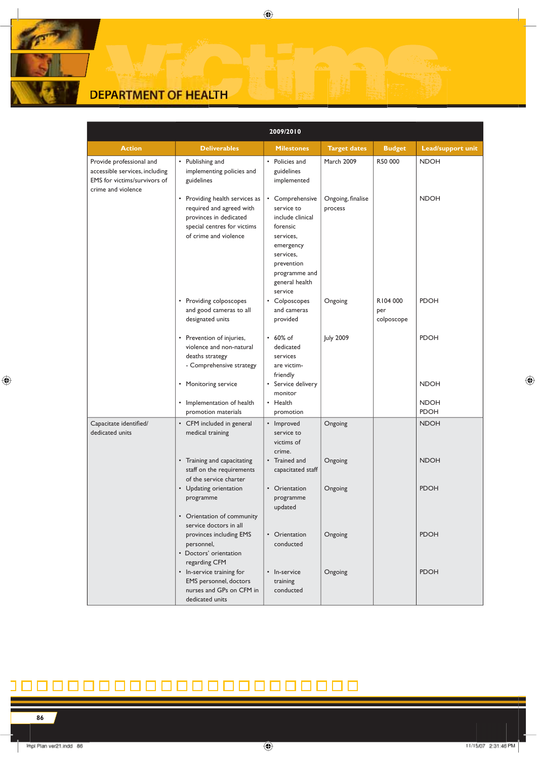# **DEPARTMENT OF HEALTH**

|                                                                                                                  |                                                                                                                                              | 2009/2010                                                                                                                                                        |                              |                               |                            |
|------------------------------------------------------------------------------------------------------------------|----------------------------------------------------------------------------------------------------------------------------------------------|------------------------------------------------------------------------------------------------------------------------------------------------------------------|------------------------------|-------------------------------|----------------------------|
| <b>Action</b>                                                                                                    | <b>Deliverables</b>                                                                                                                          | <b>Milestones</b>                                                                                                                                                | <b>Target dates</b>          | <b>Budget</b>                 | <b>Lead/support unit</b>   |
| Provide professional and<br>accessible services, including<br>EMS for victims/survivors of<br>crime and violence | • Publishing and<br>implementing policies and<br>guidelines                                                                                  | • Policies and<br>guidelines<br>implemented                                                                                                                      | March 2009                   | R50 000                       | <b>NDOH</b>                |
|                                                                                                                  | • Providing health services as<br>required and agreed with<br>provinces in dedicated<br>special centres for victims<br>of crime and violence | • Comprehensive<br>service to<br>include clinical<br>forensic<br>services,<br>emergency<br>services,<br>prevention<br>programme and<br>general health<br>service | Ongoing, finalise<br>process |                               | <b>NDOH</b>                |
|                                                                                                                  | • Providing colposcopes<br>and good cameras to all<br>designated units                                                                       | • Colposcopes<br>and cameras<br>provided                                                                                                                         | Ongoing                      | R104 000<br>per<br>colposcope | <b>PDOH</b>                |
|                                                                                                                  | • Prevention of injuries,<br>violence and non-natural<br>deaths strategy<br>- Comprehensive strategy                                         | .60% of<br>dedicated<br>services<br>are victim-<br>friendly                                                                                                      | <b>July 2009</b>             |                               | <b>PDOH</b>                |
|                                                                                                                  | • Monitoring service                                                                                                                         | • Service delivery<br>monitor                                                                                                                                    |                              |                               | <b>NDOH</b>                |
|                                                                                                                  | • Implementation of health<br>promotion materials                                                                                            | • Health<br>promotion                                                                                                                                            |                              |                               | <b>NDOH</b><br><b>PDOH</b> |
| Capacitate identified/<br>dedicated units                                                                        | • CFM included in general<br>medical training                                                                                                | • Improved<br>service to<br>victims of<br>crime.                                                                                                                 | Ongoing                      |                               | <b>NDOH</b>                |
|                                                                                                                  | • Training and capacitating<br>staff on the requirements<br>of the service charter                                                           | • Trained and<br>capacitated staff                                                                                                                               | Ongoing                      |                               | <b>NDOH</b>                |
|                                                                                                                  | • Updating orientation<br>programme                                                                                                          | • Orientation<br>programme<br>updated                                                                                                                            | Ongoing                      |                               | <b>PDOH</b>                |
|                                                                                                                  | • Orientation of community<br>service doctors in all<br>provinces including EMS<br>personnel,<br>• Doctors' orientation                      | • Orientation<br>conducted                                                                                                                                       | Ongoing                      |                               | <b>PDOH</b>                |
|                                                                                                                  | regarding CFM<br>• In-service training for<br>EMS personnel, doctors<br>nurses and GPs on CFM in<br>dedicated units                          | • In-service<br>training<br>conducted                                                                                                                            | Ongoing                      |                               | <b>PDOH</b>                |

### 00000000000000000000  $\Box$

**86**

 $\bigoplus$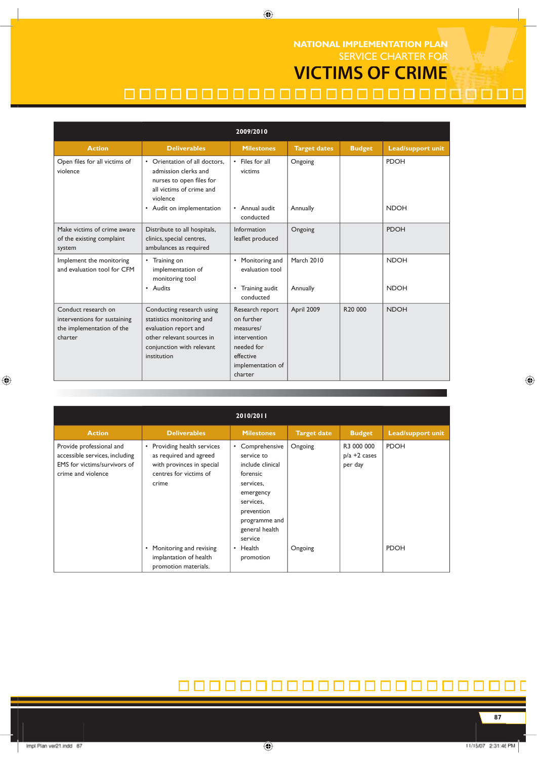SERVICE CHARTER FOR **VICTIMS OF CRIME NATIONAL IMPLEMENTATION PLAN**

# 00000000000000000000000000

| 2009/2010                                                                                   |                                                                                                                                                          |                                                                                                                       |                     |                     |                          |
|---------------------------------------------------------------------------------------------|----------------------------------------------------------------------------------------------------------------------------------------------------------|-----------------------------------------------------------------------------------------------------------------------|---------------------|---------------------|--------------------------|
| <b>Action</b>                                                                               | <b>Deliverables</b>                                                                                                                                      | <b>Milestones</b>                                                                                                     | <b>Target dates</b> | <b>Budget</b>       | <b>Lead/support unit</b> |
| Open files for all victims of<br>violence                                                   | • Orientation of all doctors.<br>admission clerks and<br>nurses to open files for<br>all victims of crime and<br>violence                                | • Files for all<br>victims                                                                                            | Ongoing             |                     | <b>PDOH</b>              |
|                                                                                             | • Audit on implementation                                                                                                                                | • Annual audit<br>conducted                                                                                           | Annually            |                     | <b>NDOH</b>              |
| Make victims of crime aware<br>of the existing complaint<br>system                          | Distribute to all hospitals,<br>clinics, special centres,<br>ambulances as required                                                                      | Information<br>leaflet produced                                                                                       | Ongoing             |                     | <b>PDOH</b>              |
| Implement the monitoring<br>and evaluation tool for CFM                                     | • Training on<br>implementation of<br>monitoring tool                                                                                                    | • Monitoring and<br>evaluation tool                                                                                   | <b>March 2010</b>   |                     | <b>NDOH</b>              |
|                                                                                             | • Audits                                                                                                                                                 | • Training audit<br>conducted                                                                                         | Annually            |                     | <b>NDOH</b>              |
| Conduct research on<br>interventions for sustaining<br>the implementation of the<br>charter | Conducting research using<br>statistics monitoring and<br>evaluation report and<br>other relevant sources in<br>conjunction with relevant<br>institution | Research report<br>on further<br>measures/<br>intervention<br>needed for<br>effective<br>implementation of<br>charter | April 2009          | R <sub>20</sub> 000 | <b>NDOH</b>              |

 $\bigoplus$ 

| 2010/2011                                                                                                        |                                                                                                                                  |                                                                                                                                                                  |                    |                                          |                          |
|------------------------------------------------------------------------------------------------------------------|----------------------------------------------------------------------------------------------------------------------------------|------------------------------------------------------------------------------------------------------------------------------------------------------------------|--------------------|------------------------------------------|--------------------------|
| <b>Action</b>                                                                                                    | <b>Deliverables</b>                                                                                                              | <b>Milestones</b>                                                                                                                                                | <b>Target date</b> | <b>Budget</b>                            | <b>Lead/support unit</b> |
| Provide professional and<br>accessible services, including<br>EMS for victims/survivors of<br>crime and violence | Providing health services<br>$\bullet$<br>as required and agreed<br>with provinces in special<br>centres for victims of<br>crime | • Comprehensive<br>service to<br>include clinical<br>forensic<br>services,<br>emergency<br>services,<br>prevention<br>programme and<br>general health<br>service | Ongoing            | R3 000 000<br>$p/a + 2$ cases<br>per day | <b>PDOH</b>              |
|                                                                                                                  | Monitoring and revising<br>$\bullet$<br>implantation of health<br>promotion materials.                                           | Health<br>$\bullet$<br>promotion                                                                                                                                 | Ongoing            |                                          | <b>PDOH</b>              |

#### 000000000000000000 ٦

 $\bigoplus$ 

**87**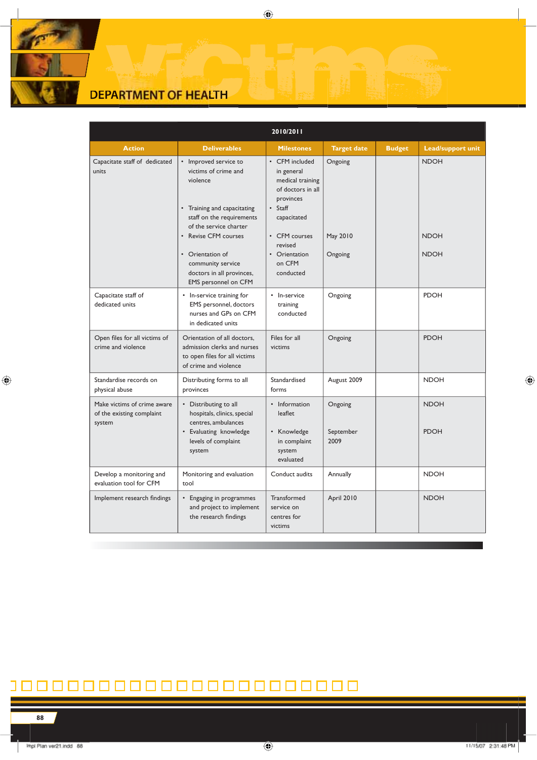# **DEPARTMENT OF HEALTH**

|                                                                    |                                                                                                                                                                                                                  | 2010/2011                                                                                                                                                           |                                |               |                                           |
|--------------------------------------------------------------------|------------------------------------------------------------------------------------------------------------------------------------------------------------------------------------------------------------------|---------------------------------------------------------------------------------------------------------------------------------------------------------------------|--------------------------------|---------------|-------------------------------------------|
| <b>Action</b>                                                      | <b>Deliverables</b>                                                                                                                                                                                              | <b>Milestones</b>                                                                                                                                                   | <b>Target date</b>             | <b>Budget</b> | <b>Lead/support unit</b>                  |
| Capacitate staff of dedicated<br>units                             | • Improved service to<br>victims of crime and<br>violence<br>• Training and capacitating<br>staff on the requirements<br>of the service charter<br>• Revise CFM courses<br>• Orientation of<br>community service | • CFM included<br>in general<br>medical training<br>of doctors in all<br>provinces<br>• Staff<br>capacitated<br>• CFM courses<br>revised<br>• Orientation<br>on CFM | Ongoing<br>May 2010<br>Ongoing |               | <b>NDOH</b><br><b>NDOH</b><br><b>NDOH</b> |
|                                                                    | doctors in all provinces,<br>EMS personnel on CFM                                                                                                                                                                | conducted                                                                                                                                                           |                                |               |                                           |
| Capacitate staff of<br>dedicated units                             | • In-service training for<br>EMS personnel, doctors<br>nurses and GPs on CFM<br>in dedicated units                                                                                                               | • In-service<br>training<br>conducted                                                                                                                               | Ongoing                        |               | <b>PDOH</b>                               |
| Open files for all victims of<br>crime and violence                | Orientation of all doctors,<br>admission clerks and nurses<br>to open files for all victims<br>of crime and violence                                                                                             | Files for all<br>victims                                                                                                                                            | Ongoing                        |               | <b>PDOH</b>                               |
| Standardise records on<br>physical abuse                           | Distributing forms to all<br>provinces                                                                                                                                                                           | Standardised<br>forms                                                                                                                                               | August 2009                    |               | <b>NDOH</b>                               |
| Make victims of crime aware<br>of the existing complaint<br>system | • Distributing to all<br>hospitals, clinics, special<br>centres, ambulances<br>• Evaluating knowledge<br>levels of complaint<br>system                                                                           | • Information<br>leaflet<br>• Knowledge<br>in complaint<br>system<br>evaluated                                                                                      | Ongoing<br>September<br>2009   |               | <b>NDOH</b><br><b>PDOH</b>                |
| Develop a monitoring and<br>evaluation tool for CFM                | Monitoring and evaluation<br>tool                                                                                                                                                                                | Conduct audits                                                                                                                                                      | Annually                       |               | <b>NDOH</b>                               |
| Implement research findings                                        | • Engaging in programmes<br>and project to implement<br>the research findings                                                                                                                                    | Transformed<br>service on<br>centres for<br>victims                                                                                                                 | April 2010                     |               | <b>NDOH</b>                               |

 $\bigoplus$ 

### 0000000000000000000 חו

 $\mathbb{R}$ 

 $\bigoplus$